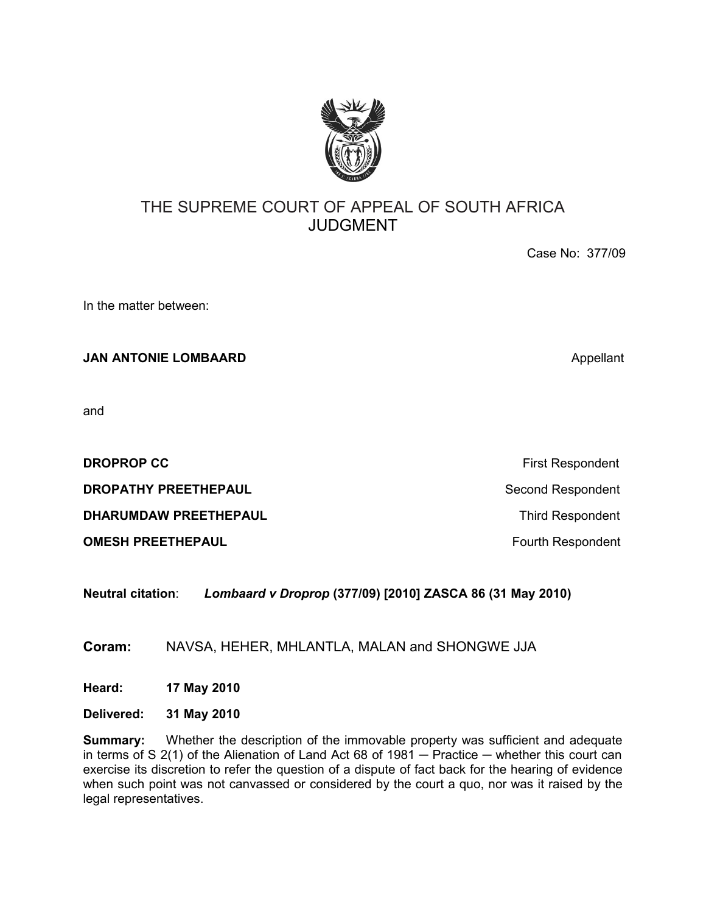

# THE SUPREME COURT OF APPEAL OF SOUTH AFRICA JUDGMENT

Case No: 377/09

In the matter between:

**JAN ANTONIE LOMBAARD** Appellant

and

**DROPROP CC** First Respondent

**DROPATHY PREETHEPAUL** Second Respondent

**DHARUMDAW PREETHEPAUL Third Respondent** 

**OMESH PREETHEPAUL Fourth Respondent** 

**Neutral citation**: *Lombaard v Droprop* **(377/09) [2010] ZASCA 86 (31 May 2010)**

**Coram:** NAVSA, HEHER, MHLANTLA, MALAN and SHONGWE JJA

**Heard: 17 May 2010**

**Delivered: 31 May 2010**

**Summary:** Whether the description of the immovable property was sufficient and adequate in terms of S  $2(1)$  of the Alienation of Land Act 68 of 1981  $-$  Practice  $-$  whether this court can exercise its discretion to refer the question of a dispute of fact back for the hearing of evidence when such point was not canvassed or considered by the court a quo, nor was it raised by the legal representatives.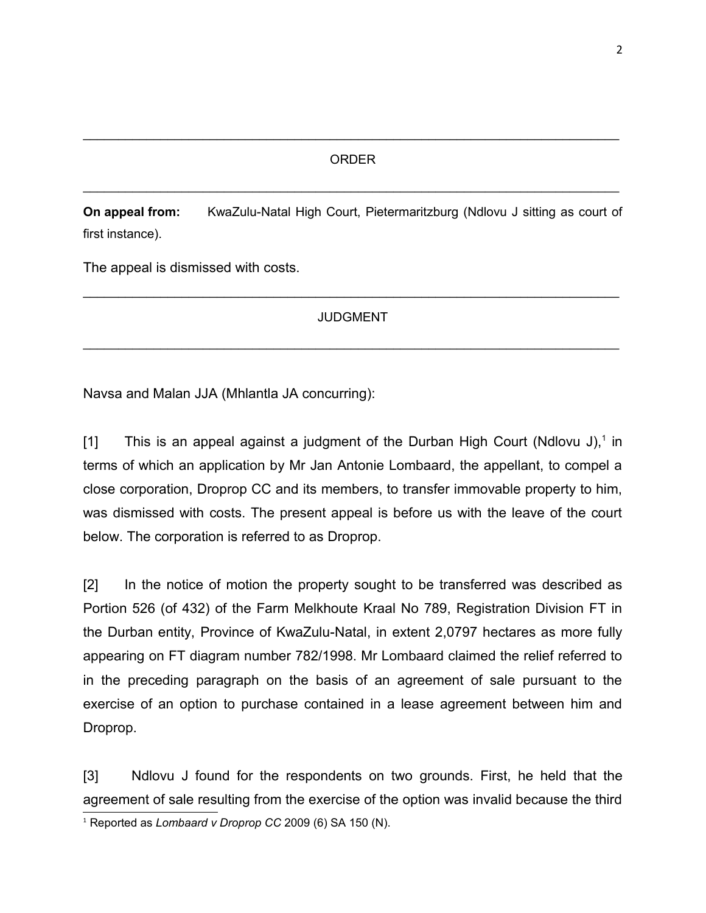## ORDER

\_\_\_\_\_\_\_\_\_\_\_\_\_\_\_\_\_\_\_\_\_\_\_\_\_\_\_\_\_\_\_\_\_\_\_\_\_\_\_\_\_\_\_\_\_\_\_\_\_\_\_\_\_\_\_\_\_\_\_\_\_\_\_\_\_\_\_\_\_\_\_\_\_\_\_\_

\_\_\_\_\_\_\_\_\_\_\_\_\_\_\_\_\_\_\_\_\_\_\_\_\_\_\_\_\_\_\_\_\_\_\_\_\_\_\_\_\_\_\_\_\_\_\_\_\_\_\_\_\_\_\_\_\_\_\_\_\_\_\_\_\_\_\_\_\_\_\_\_\_\_\_\_

**On appeal from:** KwaZulu-Natal High Court, Pietermaritzburg (Ndlovu J sitting as court of first instance).

The appeal is dismissed with costs.

# JUDGMENT

\_\_\_\_\_\_\_\_\_\_\_\_\_\_\_\_\_\_\_\_\_\_\_\_\_\_\_\_\_\_\_\_\_\_\_\_\_\_\_\_\_\_\_\_\_\_\_\_\_\_\_\_\_\_\_\_\_\_\_\_\_\_\_\_\_\_\_\_\_\_\_\_\_\_\_\_

\_\_\_\_\_\_\_\_\_\_\_\_\_\_\_\_\_\_\_\_\_\_\_\_\_\_\_\_\_\_\_\_\_\_\_\_\_\_\_\_\_\_\_\_\_\_\_\_\_\_\_\_\_\_\_\_\_\_\_\_\_\_\_\_\_\_\_\_\_\_\_\_\_\_\_\_

Navsa and Malan JJA (Mhlantla JA concurring):

[[1](#page-1-0)] This is an appeal against a judgment of the Durban High Court (Ndlovu J),<sup>1</sup> in terms of which an application by Mr Jan Antonie Lombaard, the appellant, to compel a close corporation, Droprop CC and its members, to transfer immovable property to him, was dismissed with costs. The present appeal is before us with the leave of the court below. The corporation is referred to as Droprop.

[2] In the notice of motion the property sought to be transferred was described as Portion 526 (of 432) of the Farm Melkhoute Kraal No 789, Registration Division FT in the Durban entity, Province of KwaZulu-Natal, in extent 2,0797 hectares as more fully appearing on FT diagram number 782/1998. Mr Lombaard claimed the relief referred to in the preceding paragraph on the basis of an agreement of sale pursuant to the exercise of an option to purchase contained in a lease agreement between him and Droprop.

[3] Ndlovu J found for the respondents on two grounds. First, he held that the agreement of sale resulting from the exercise of the option was invalid because the third

<span id="page-1-0"></span><sup>1</sup> Reported as *Lombaard v Droprop CC* 2009 (6) SA 150 (N).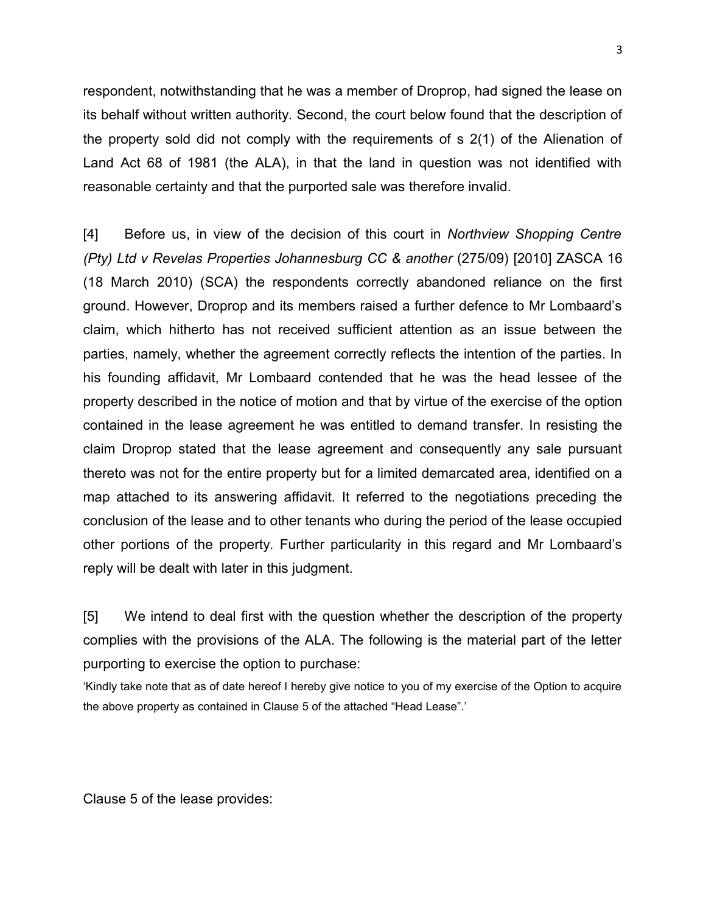respondent, notwithstanding that he was a member of Droprop, had signed the lease on its behalf without written authority. Second, the court below found that the description of the property sold did not comply with the requirements of s 2(1) of the Alienation of Land Act 68 of 1981 (the ALA), in that the land in question was not identified with reasonable certainty and that the purported sale was therefore invalid.

[4] Before us, in view of the decision of this court in *Northview Shopping Centre (Pty) Ltd v Revelas Properties Johannesburg CC & another (275/09)* [2010] ZASCA 16 (18 March 2010) (SCA) the respondents correctly abandoned reliance on the first ground. However, Droprop and its members raised a further defence to Mr Lombaard's claim, which hitherto has not received sufficient attention as an issue between the parties, namely, whether the agreement correctly reflects the intention of the parties. In his founding affidavit, Mr Lombaard contended that he was the head lessee of the property described in the notice of motion and that by virtue of the exercise of the option contained in the lease agreement he was entitled to demand transfer. In resisting the claim Droprop stated that the lease agreement and consequently any sale pursuant thereto was not for the entire property but for a limited demarcated area, identified on a map attached to its answering affidavit. It referred to the negotiations preceding the conclusion of the lease and to other tenants who during the period of the lease occupied other portions of the property. Further particularity in this regard and Mr Lombaard's reply will be dealt with later in this judgment.

[5] We intend to deal first with the question whether the description of the property complies with the provisions of the ALA. The following is the material part of the letter purporting to exercise the option to purchase:

'Kindly take note that as of date hereof I hereby give notice to you of my exercise of the Option to acquire the above property as contained in Clause 5 of the attached "Head Lease".'

Clause 5 of the lease provides: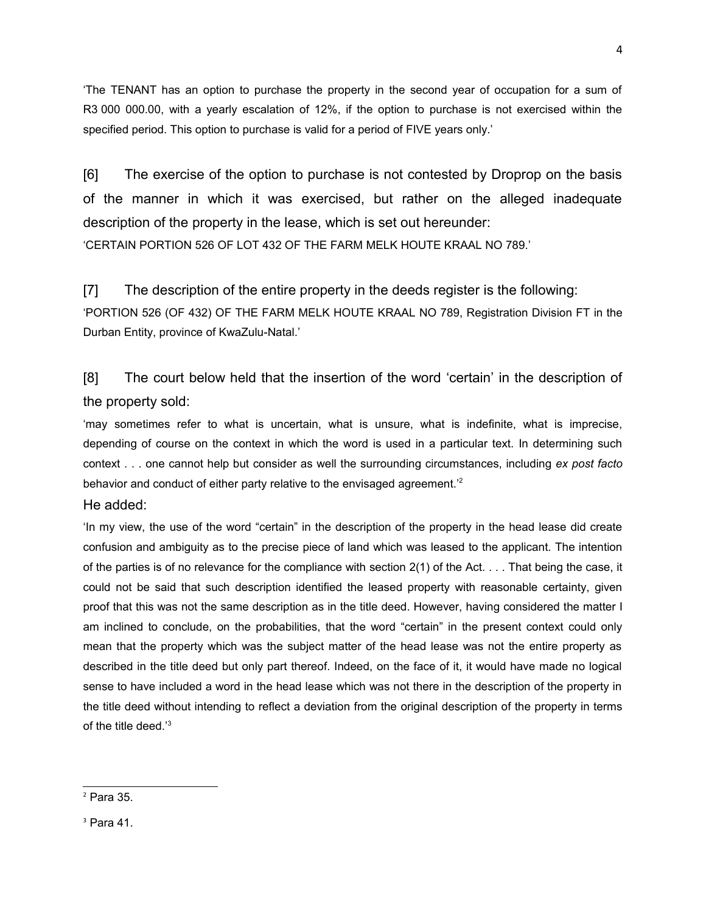'The TENANT has an option to purchase the property in the second year of occupation for a sum of R3 000 000.00, with a yearly escalation of 12%, if the option to purchase is not exercised within the specified period. This option to purchase is valid for a period of FIVE years only.'

[6] The exercise of the option to purchase is not contested by Droprop on the basis of the manner in which it was exercised, but rather on the alleged inadequate description of the property in the lease, which is set out hereunder: 'CERTAIN PORTION 526 OF LOT 432 OF THE FARM MELK HOUTE KRAAL NO 789.'

[7] The description of the entire property in the deeds register is the following: 'PORTION 526 (OF 432) OF THE FARM MELK HOUTE KRAAL NO 789, Registration Division FT in the Durban Entity, province of KwaZulu-Natal.'

[8] The court below held that the insertion of the word 'certain' in the description of the property sold:

'may sometimes refer to what is uncertain, what is unsure, what is indefinite, what is imprecise, depending of course on the context in which the word is used in a particular text. In determining such context . . . one cannot help but consider as well the surrounding circumstances, including *ex post facto* behavior and conduct of either party relative to the envisaged agreement.<sup>[2](#page-3-0)2</sup>

He added:

'In my view, the use of the word "certain" in the description of the property in the head lease did create confusion and ambiguity as to the precise piece of land which was leased to the applicant. The intention of the parties is of no relevance for the compliance with section 2(1) of the Act. . . . That being the case, it could not be said that such description identified the leased property with reasonable certainty, given proof that this was not the same description as in the title deed. However, having considered the matter I am inclined to conclude, on the probabilities, that the word "certain" in the present context could only mean that the property which was the subject matter of the head lease was not the entire property as described in the title deed but only part thereof. Indeed, on the face of it, it would have made no logical sense to have included a word in the head lease which was not there in the description of the property in the title deed without intending to reflect a deviation from the original description of the property in terms of the title deed.'[3](#page-3-1)

4

<span id="page-3-0"></span> $<sup>2</sup>$  Para 35.</sup>

<span id="page-3-1"></span> $3$  Para 41.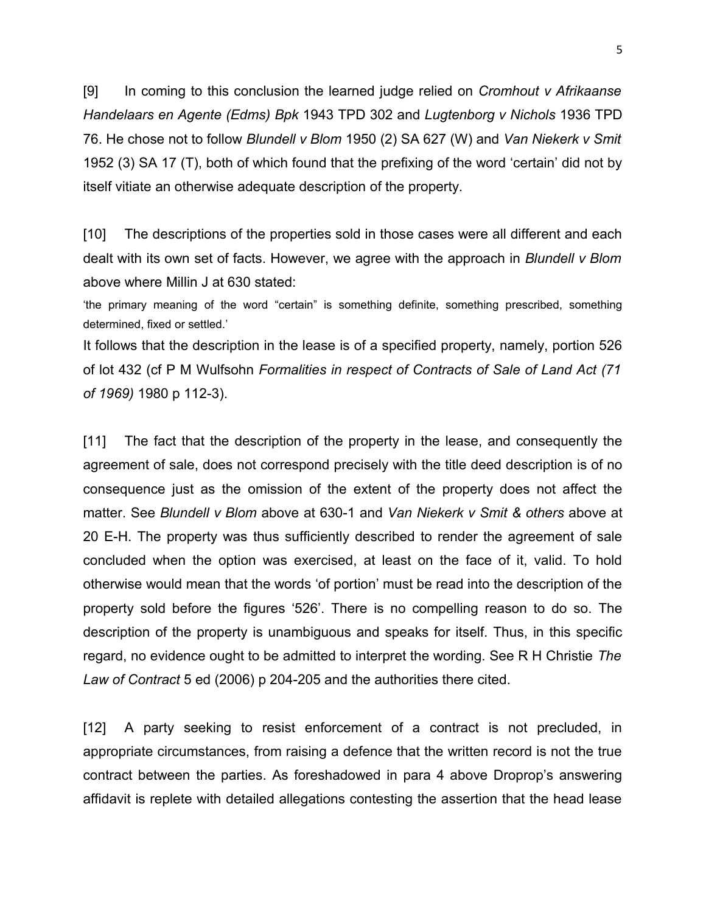[9] In coming to this conclusion the learned judge relied on *Cromhout v Afrikaanse Handelaars en Agente (Edms) Bpk* 1943 TPD 302 and *Lugtenborg v Nichols* 1936 TPD 76. He chose not to follow *Blundell v Blom* 1950 (2) SA 627 (W) and *Van Niekerk v Smit* 1952 (3) SA 17 (T), both of which found that the prefixing of the word 'certain' did not by itself vitiate an otherwise adequate description of the property.

[10] The descriptions of the properties sold in those cases were all different and each dealt with its own set of facts. However, we agree with the approach in *Blundell v Blom* above where Millin J at 630 stated:

'the primary meaning of the word "certain" is something definite, something prescribed, something determined, fixed or settled.'

It follows that the description in the lease is of a specified property, namely, portion 526 of lot 432 (cf P M Wulfsohn *Formalities in respect of Contracts of Sale of Land Act (71 of 1969)* 1980 p 112-3).

[11] The fact that the description of the property in the lease, and consequently the agreement of sale, does not correspond precisely with the title deed description is of no consequence just as the omission of the extent of the property does not affect the matter. See *Blundell v Blom* above at 630-1 and *Van Niekerk v Smit & others* above at 20 E-H. The property was thus sufficiently described to render the agreement of sale concluded when the option was exercised, at least on the face of it, valid. To hold otherwise would mean that the words 'of portion' must be read into the description of the property sold before the figures '526'. There is no compelling reason to do so. The description of the property is unambiguous and speaks for itself. Thus, in this specific regard, no evidence ought to be admitted to interpret the wording. See R H Christie *The Law of Contract* 5 ed (2006) p 204-205 and the authorities there cited.

[12] A party seeking to resist enforcement of a contract is not precluded, in appropriate circumstances, from raising a defence that the written record is not the true contract between the parties. As foreshadowed in para 4 above Droprop's answering affidavit is replete with detailed allegations contesting the assertion that the head lease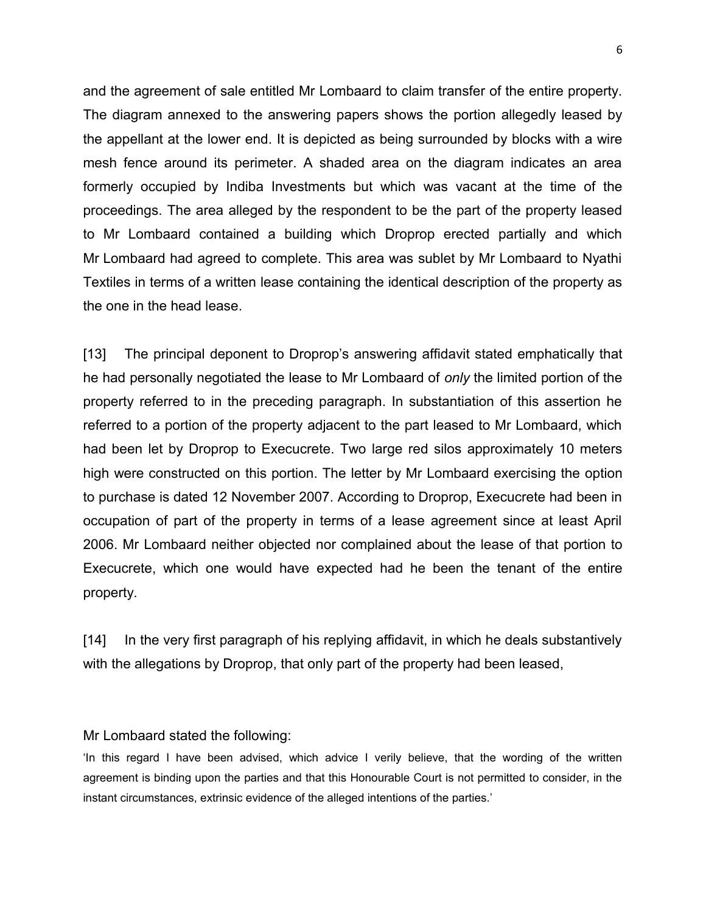and the agreement of sale entitled Mr Lombaard to claim transfer of the entire property. The diagram annexed to the answering papers shows the portion allegedly leased by the appellant at the lower end. It is depicted as being surrounded by blocks with a wire mesh fence around its perimeter. A shaded area on the diagram indicates an area formerly occupied by Indiba Investments but which was vacant at the time of the proceedings. The area alleged by the respondent to be the part of the property leased to Mr Lombaard contained a building which Droprop erected partially and which Mr Lombaard had agreed to complete. This area was sublet by Mr Lombaard to Nyathi Textiles in terms of a written lease containing the identical description of the property as the one in the head lease.

[13] The principal deponent to Droprop's answering affidavit stated emphatically that he had personally negotiated the lease to Mr Lombaard of *only* the limited portion of the property referred to in the preceding paragraph. In substantiation of this assertion he referred to a portion of the property adjacent to the part leased to Mr Lombaard, which had been let by Droprop to Execucrete. Two large red silos approximately 10 meters high were constructed on this portion. The letter by Mr Lombaard exercising the option to purchase is dated 12 November 2007. According to Droprop, Execucrete had been in occupation of part of the property in terms of a lease agreement since at least April 2006. Mr Lombaard neither objected nor complained about the lease of that portion to Execucrete, which one would have expected had he been the tenant of the entire property.

[14] In the very first paragraph of his replying affidavit, in which he deals substantively with the allegations by Droprop, that only part of the property had been leased,

### Mr Lombaard stated the following:

'In this regard I have been advised, which advice I verily believe, that the wording of the written agreement is binding upon the parties and that this Honourable Court is not permitted to consider, in the instant circumstances, extrinsic evidence of the alleged intentions of the parties.'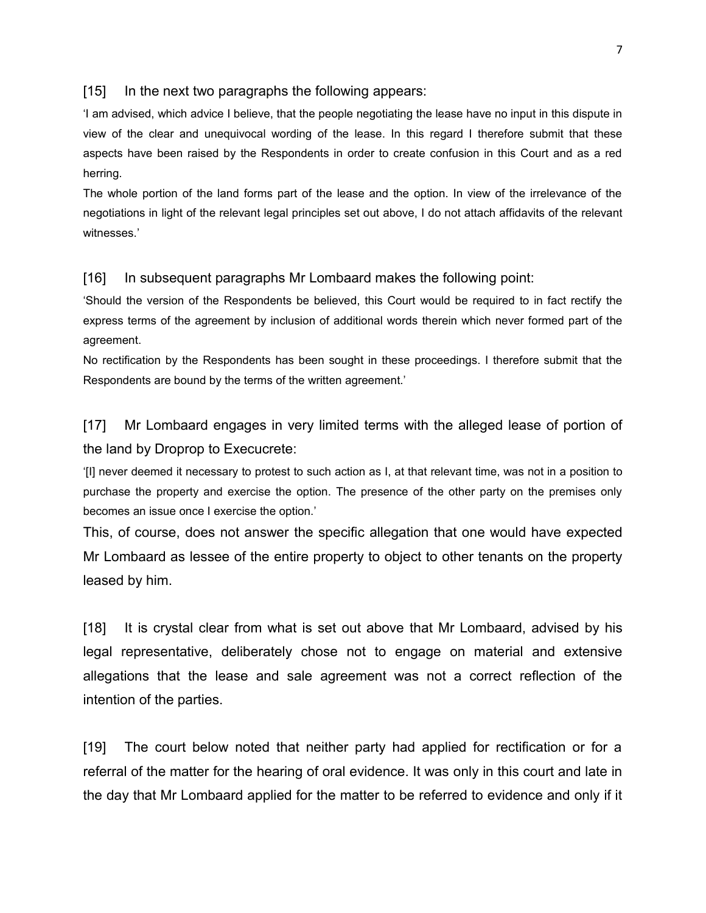### [15] In the next two paragraphs the following appears:

'I am advised, which advice I believe, that the people negotiating the lease have no input in this dispute in view of the clear and unequivocal wording of the lease. In this regard I therefore submit that these aspects have been raised by the Respondents in order to create confusion in this Court and as a red herring.

The whole portion of the land forms part of the lease and the option. In view of the irrelevance of the negotiations in light of the relevant legal principles set out above, I do not attach affidavits of the relevant witnesses.'

### [16] In subsequent paragraphs Mr Lombaard makes the following point:

'Should the version of the Respondents be believed, this Court would be required to in fact rectify the express terms of the agreement by inclusion of additional words therein which never formed part of the agreement.

No rectification by the Respondents has been sought in these proceedings. I therefore submit that the Respondents are bound by the terms of the written agreement.'

[17] Mr Lombaard engages in very limited terms with the alleged lease of portion of the land by Droprop to Execucrete:

'[I] never deemed it necessary to protest to such action as I, at that relevant time, was not in a position to purchase the property and exercise the option. The presence of the other party on the premises only becomes an issue once I exercise the option.'

This, of course, does not answer the specific allegation that one would have expected Mr Lombaard as lessee of the entire property to object to other tenants on the property leased by him.

[18] It is crystal clear from what is set out above that Mr Lombaard, advised by his legal representative, deliberately chose not to engage on material and extensive allegations that the lease and sale agreement was not a correct reflection of the intention of the parties.

[19] The court below noted that neither party had applied for rectification or for a referral of the matter for the hearing of oral evidence. It was only in this court and late in the day that Mr Lombaard applied for the matter to be referred to evidence and only if it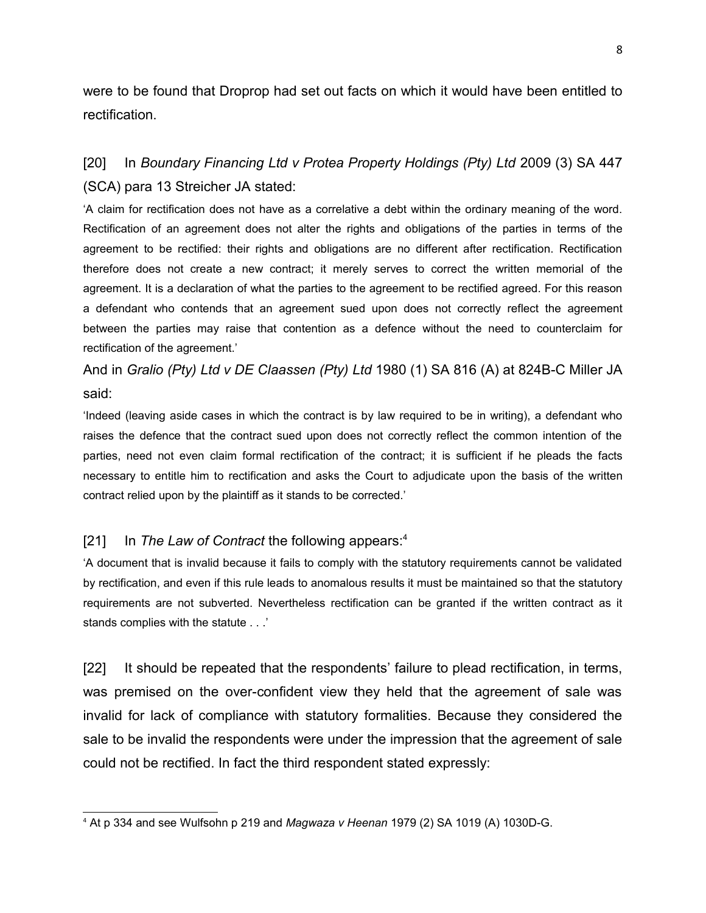were to be found that Droprop had set out facts on which it would have been entitled to rectification.

# [20] In *Boundary Financing Ltd v Protea Property Holdings (Pty) Ltd* 2009 (3) SA 447 (SCA) para 13 Streicher JA stated:

'A claim for rectification does not have as a correlative a debt within the ordinary meaning of the word. Rectification of an agreement does not alter the rights and obligations of the parties in terms of the agreement to be rectified: their rights and obligations are no different after rectification. Rectification therefore does not create a new contract; it merely serves to correct the written memorial of the agreement. It is a declaration of what the parties to the agreement to be rectified agreed. For this reason a defendant who contends that an agreement sued upon does not correctly reflect the agreement between the parties may raise that contention as a defence without the need to counterclaim for rectification of the agreement.'

And in *Gralio (Pty) Ltd v DE Claassen (Pty) Ltd* 1980 (1) SA 816 (A) at 824B-C Miller JA said:

'Indeed (leaving aside cases in which the contract is by law required to be in writing), a defendant who raises the defence that the contract sued upon does not correctly reflect the common intention of the parties, need not even claim formal rectification of the contract; it is sufficient if he pleads the facts necessary to entitle him to rectification and asks the Court to adjudicate upon the basis of the written contract relied upon by the plaintiff as it stands to be corrected.'

## [21] In *The Law of Contract* the following appears:[4](#page-7-0)

'A document that is invalid because it fails to comply with the statutory requirements cannot be validated by rectification, and even if this rule leads to anomalous results it must be maintained so that the statutory requirements are not subverted. Nevertheless rectification can be granted if the written contract as it stands complies with the statute . . .'

[22] It should be repeated that the respondents' failure to plead rectification, in terms, was premised on the over-confident view they held that the agreement of sale was invalid for lack of compliance with statutory formalities. Because they considered the sale to be invalid the respondents were under the impression that the agreement of sale could not be rectified. In fact the third respondent stated expressly:

<span id="page-7-0"></span><sup>4</sup> At p 334 and see Wulfsohn p 219 and *Magwaza v Heenan* 1979 (2) SA 1019 (A) 1030D-G.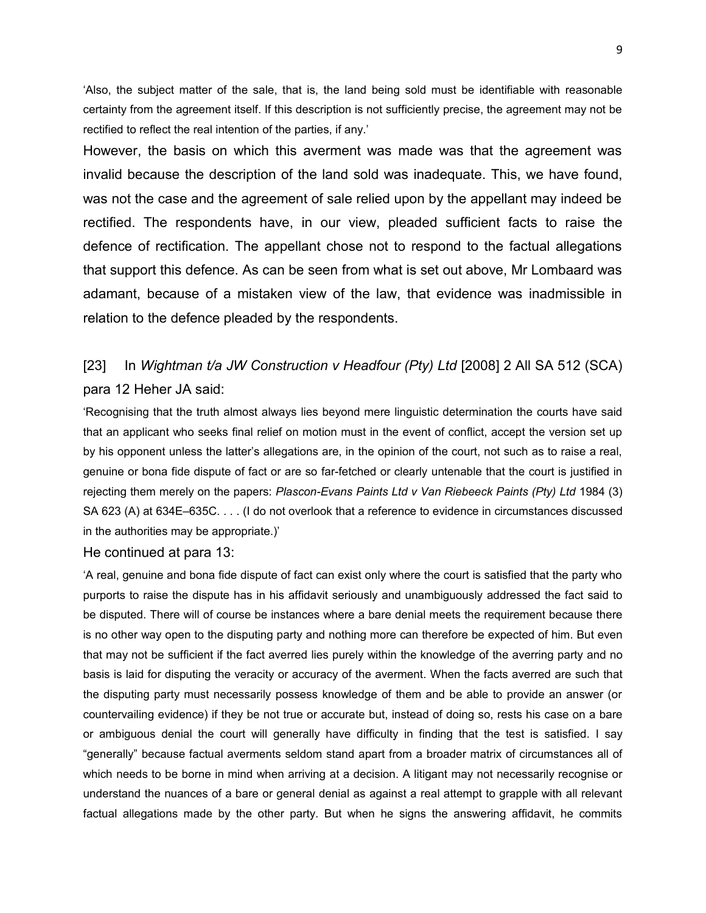'Also, the subject matter of the sale, that is, the land being sold must be identifiable with reasonable certainty from the agreement itself. If this description is not sufficiently precise, the agreement may not be rectified to reflect the real intention of the parties, if any.'

However, the basis on which this averment was made was that the agreement was invalid because the description of the land sold was inadequate. This, we have found, was not the case and the agreement of sale relied upon by the appellant may indeed be rectified. The respondents have, in our view, pleaded sufficient facts to raise the defence of rectification. The appellant chose not to respond to the factual allegations that support this defence. As can be seen from what is set out above, Mr Lombaard was adamant, because of a mistaken view of the law, that evidence was inadmissible in relation to the defence pleaded by the respondents.

# [23] In *Wightman t/a JW Construction v Headfour (Pty) Ltd* [2008] 2 All SA 512 (SCA) para 12 Heher JA said:

'Recognising that the truth almost always lies beyond mere linguistic determination the courts have said that an applicant who seeks final relief on motion must in the event of conflict, accept the version set up by his opponent unless the latter's allegations are, in the opinion of the court, not such as to raise a real, genuine or bona fide dispute of fact or are so far-fetched or clearly untenable that the court is justified in rejecting them merely on the papers: *Plascon-Evans Paints Ltd v Van Riebeeck Paints (Pty) Ltd* 1984 (3) SA 623 (A) at 634E–635C. . . . (I do not overlook that a reference to evidence in circumstances discussed in the authorities may be appropriate.)'

#### He continued at para 13:

'A real, genuine and bona fide dispute of fact can exist only where the court is satisfied that the party who purports to raise the dispute has in his affidavit seriously and unambiguously addressed the fact said to be disputed. There will of course be instances where a bare denial meets the requirement because there is no other way open to the disputing party and nothing more can therefore be expected of him. But even that may not be sufficient if the fact averred lies purely within the knowledge of the averring party and no basis is laid for disputing the veracity or accuracy of the averment. When the facts averred are such that the disputing party must necessarily possess knowledge of them and be able to provide an answer (or countervailing evidence) if they be not true or accurate but, instead of doing so, rests his case on a bare or ambiguous denial the court will generally have difficulty in finding that the test is satisfied. I say "generally" because factual averments seldom stand apart from a broader matrix of circumstances all of which needs to be borne in mind when arriving at a decision. A litigant may not necessarily recognise or understand the nuances of a bare or general denial as against a real attempt to grapple with all relevant factual allegations made by the other party. But when he signs the answering affidavit, he commits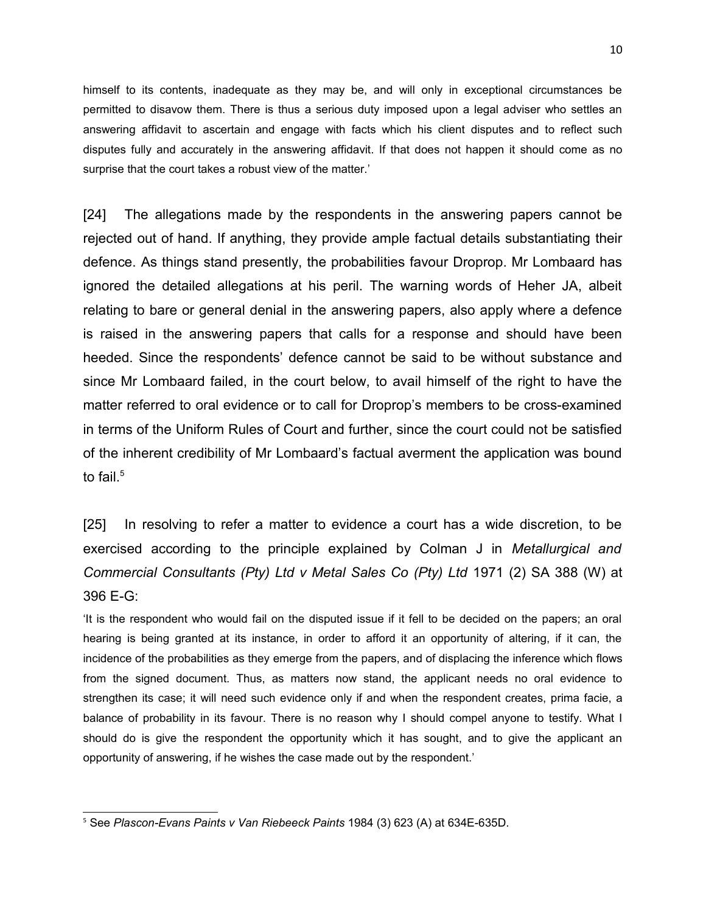himself to its contents, inadequate as they may be, and will only in exceptional circumstances be permitted to disavow them. There is thus a serious duty imposed upon a legal adviser who settles an answering affidavit to ascertain and engage with facts which his client disputes and to reflect such disputes fully and accurately in the answering affidavit. If that does not happen it should come as no surprise that the court takes a robust view of the matter.'

[24] The allegations made by the respondents in the answering papers cannot be rejected out of hand. If anything, they provide ample factual details substantiating their defence. As things stand presently, the probabilities favour Droprop. Mr Lombaard has ignored the detailed allegations at his peril. The warning words of Heher JA, albeit relating to bare or general denial in the answering papers, also apply where a defence is raised in the answering papers that calls for a response and should have been heeded. Since the respondents' defence cannot be said to be without substance and since Mr Lombaard failed, in the court below, to avail himself of the right to have the matter referred to oral evidence or to call for Droprop's members to be cross-examined in terms of the Uniform Rules of Court and further, since the court could not be satisfied of the inherent credibility of Mr Lombaard's factual averment the application was bound to fail. $^5\,$  $^5\,$  $^5\,$ 

[25] In resolving to refer a matter to evidence a court has a wide discretion, to be exercised according to the principle explained by Colman J in *Metallurgical and Commercial Consultants (Pty) Ltd v Metal Sales Co (Pty) Ltd* 1971 (2) SA 388 (W) at 396 E-G:

'It is the respondent who would fail on the disputed issue if it fell to be decided on the papers; an oral hearing is being granted at its instance, in order to afford it an opportunity of altering, if it can, the incidence of the probabilities as they emerge from the papers, and of displacing the inference which flows from the signed document. Thus, as matters now stand, the applicant needs no oral evidence to strengthen its case; it will need such evidence only if and when the respondent creates, prima facie, a balance of probability in its favour. There is no reason why I should compel anyone to testify. What I should do is give the respondent the opportunity which it has sought, and to give the applicant an opportunity of answering, if he wishes the case made out by the respondent.'

<span id="page-9-0"></span><sup>5</sup> See *Plascon-Evans Paints v Van Riebeeck Paints* 1984 (3) 623 (A) at 634E-635D.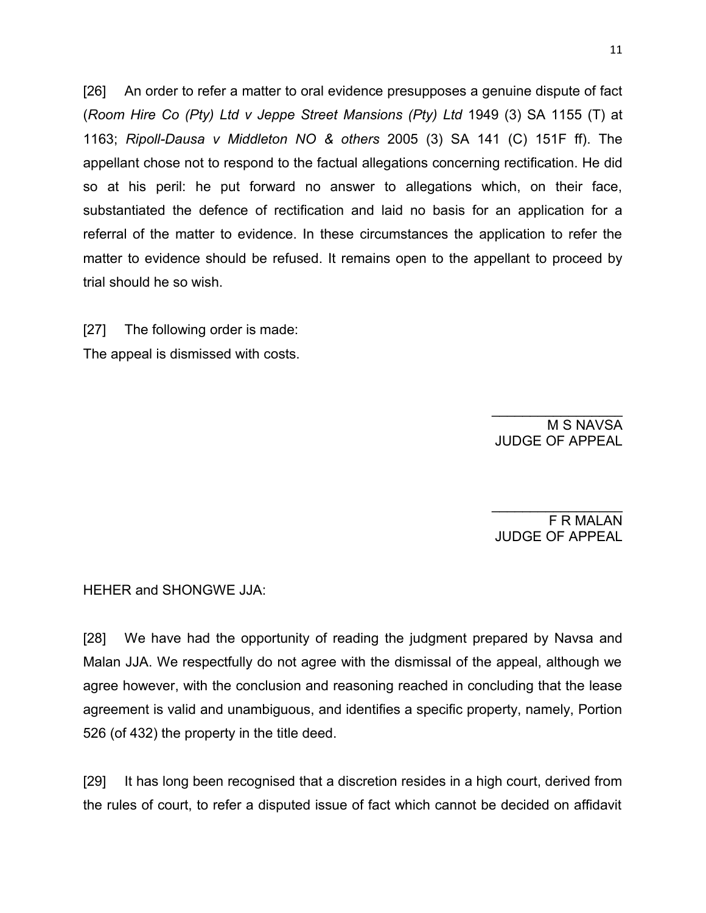[26] An order to refer a matter to oral evidence presupposes a genuine dispute of fact (*Room Hire Co (Pty) Ltd v Jeppe Street Mansions (Pty) Ltd* 1949 (3) SA 1155 (T) at 1163; *Ripoll-Dausa v Middleton NO & others* 2005 (3) SA 141 (C) 151F ff). The appellant chose not to respond to the factual allegations concerning rectification. He did so at his peril: he put forward no answer to allegations which, on their face, substantiated the defence of rectification and laid no basis for an application for a referral of the matter to evidence. In these circumstances the application to refer the matter to evidence should be refused. It remains open to the appellant to proceed by trial should he so wish.

[27] The following order is made: The appeal is dismissed with costs.

> $\overline{\phantom{a}}$ M S NAVSA JUDGE OF APPEAL

F R MALAN JUDGE OF APPEAL

 $\frac{1}{2}$ 

HEHER and SHONGWE JJA:

[28] We have had the opportunity of reading the judgment prepared by Navsa and Malan JJA. We respectfully do not agree with the dismissal of the appeal, although we agree however, with the conclusion and reasoning reached in concluding that the lease agreement is valid and unambiguous, and identifies a specific property, namely, Portion 526 (of 432) the property in the title deed.

[29] It has long been recognised that a discretion resides in a high court, derived from the rules of court, to refer a disputed issue of fact which cannot be decided on affidavit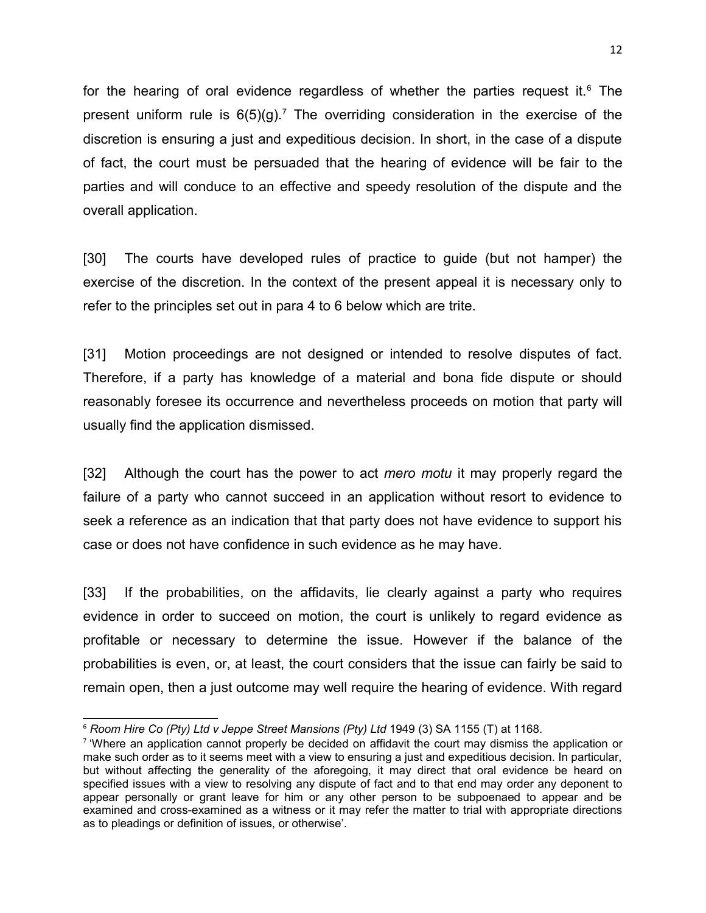for the hearing of oral evidence regardless of whether the parties request it. $6$  The present uniform rule is  $6(5)(g)$ .<sup>[7](#page-11-1)</sup> The overriding consideration in the exercise of the discretion is ensuring a just and expeditious decision. In short, in the case of a dispute of fact, the court must be persuaded that the hearing of evidence will be fair to the parties and will conduce to an effective and speedy resolution of the dispute and the overall application.

[30] The courts have developed rules of practice to guide (but not hamper) the exercise of the discretion. In the context of the present appeal it is necessary only to refer to the principles set out in para 4 to 6 below which are trite.

[31] Motion proceedings are not designed or intended to resolve disputes of fact. Therefore, if a party has knowledge of a material and bona fide dispute or should reasonably foresee its occurrence and nevertheless proceeds on motion that party will usually find the application dismissed.

[32] Although the court has the power to act *mero motu* it may properly regard the failure of a party who cannot succeed in an application without resort to evidence to seek a reference as an indication that that party does not have evidence to support his case or does not have confidence in such evidence as he may have.

[33] If the probabilities, on the affidavits, lie clearly against a party who requires evidence in order to succeed on motion, the court is unlikely to regard evidence as profitable or necessary to determine the issue. However if the balance of the probabilities is even, or, at least, the court considers that the issue can fairly be said to remain open, then a just outcome may well require the hearing of evidence. With regard

<span id="page-11-0"></span><sup>6</sup> *Room Hire Co (Pty) Ltd v Jeppe Street Mansions (Pty) Ltd* 1949 (3) SA 1155 (T) at 1168.

<span id="page-11-1"></span><sup>7</sup> 'Where an application cannot properly be decided on affidavit the court may dismiss the application or make such order as to it seems meet with a view to ensuring a just and expeditious decision. In particular, but without affecting the generality of the aforegoing, it may direct that oral evidence be heard on specified issues with a view to resolving any dispute of fact and to that end may order any deponent to appear personally or grant leave for him or any other person to be subpoenaed to appear and be examined and cross-examined as a witness or it may refer the matter to trial with appropriate directions as to pleadings or definition of issues, or otherwise'.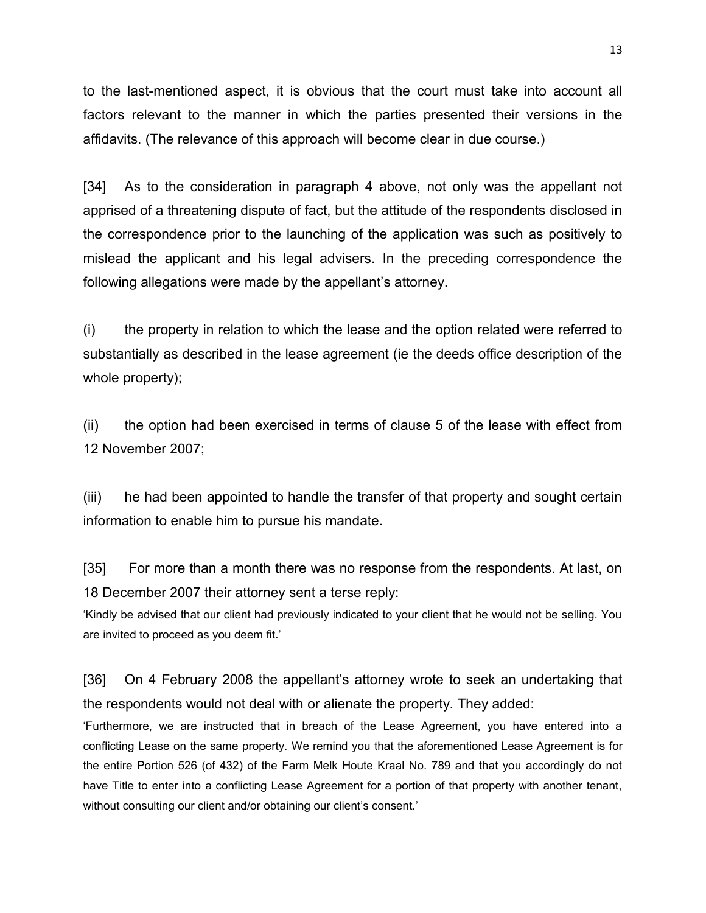to the last-mentioned aspect, it is obvious that the court must take into account all factors relevant to the manner in which the parties presented their versions in the affidavits. (The relevance of this approach will become clear in due course.)

[34] As to the consideration in paragraph 4 above, not only was the appellant not apprised of a threatening dispute of fact, but the attitude of the respondents disclosed in the correspondence prior to the launching of the application was such as positively to mislead the applicant and his legal advisers. In the preceding correspondence the following allegations were made by the appellant's attorney.

(i) the property in relation to which the lease and the option related were referred to substantially as described in the lease agreement (ie the deeds office description of the whole property);

(ii) the option had been exercised in terms of clause 5 of the lease with effect from 12 November 2007;

(iii) he had been appointed to handle the transfer of that property and sought certain information to enable him to pursue his mandate.

[35] For more than a month there was no response from the respondents. At last, on 18 December 2007 their attorney sent a terse reply:

'Kindly be advised that our client had previously indicated to your client that he would not be selling. You are invited to proceed as you deem fit.'

[36] On 4 February 2008 the appellant's attorney wrote to seek an undertaking that the respondents would not deal with or alienate the property. They added:

'Furthermore, we are instructed that in breach of the Lease Agreement, you have entered into a conflicting Lease on the same property. We remind you that the aforementioned Lease Agreement is for the entire Portion 526 (of 432) of the Farm Melk Houte Kraal No. 789 and that you accordingly do not have Title to enter into a conflicting Lease Agreement for a portion of that property with another tenant, without consulting our client and/or obtaining our client's consent.'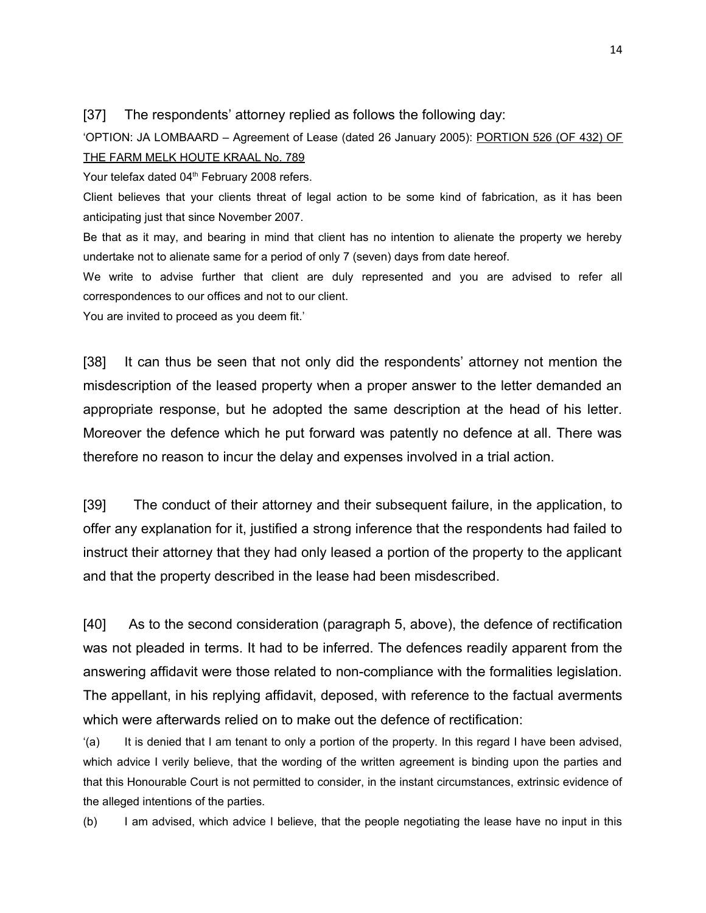#### [37] The respondents' attorney replied as follows the following day:

'OPTION: JA LOMBAARD – Agreement of Lease (dated 26 January 2005): PORTION 526 (OF 432) OF THE FARM MELK HOUTE KRAAL No. 789

Your telefax dated 04<sup>th</sup> February 2008 refers.

Client believes that your clients threat of legal action to be some kind of fabrication, as it has been anticipating just that since November 2007.

Be that as it may, and bearing in mind that client has no intention to alienate the property we hereby undertake not to alienate same for a period of only 7 (seven) days from date hereof.

We write to advise further that client are duly represented and you are advised to refer all correspondences to our offices and not to our client.

You are invited to proceed as you deem fit.'

[38] It can thus be seen that not only did the respondents' attorney not mention the misdescription of the leased property when a proper answer to the letter demanded an appropriate response, but he adopted the same description at the head of his letter. Moreover the defence which he put forward was patently no defence at all. There was therefore no reason to incur the delay and expenses involved in a trial action.

[39] The conduct of their attorney and their subsequent failure, in the application, to offer any explanation for it, justified a strong inference that the respondents had failed to instruct their attorney that they had only leased a portion of the property to the applicant and that the property described in the lease had been misdescribed.

[40] As to the second consideration (paragraph 5, above), the defence of rectification was not pleaded in terms. It had to be inferred. The defences readily apparent from the answering affidavit were those related to non-compliance with the formalities legislation. The appellant, in his replying affidavit, deposed, with reference to the factual averments which were afterwards relied on to make out the defence of rectification:

'(a) It is denied that I am tenant to only a portion of the property. In this regard I have been advised, which advice I verily believe, that the wording of the written agreement is binding upon the parties and that this Honourable Court is not permitted to consider, in the instant circumstances, extrinsic evidence of the alleged intentions of the parties.

(b) I am advised, which advice I believe, that the people negotiating the lease have no input in this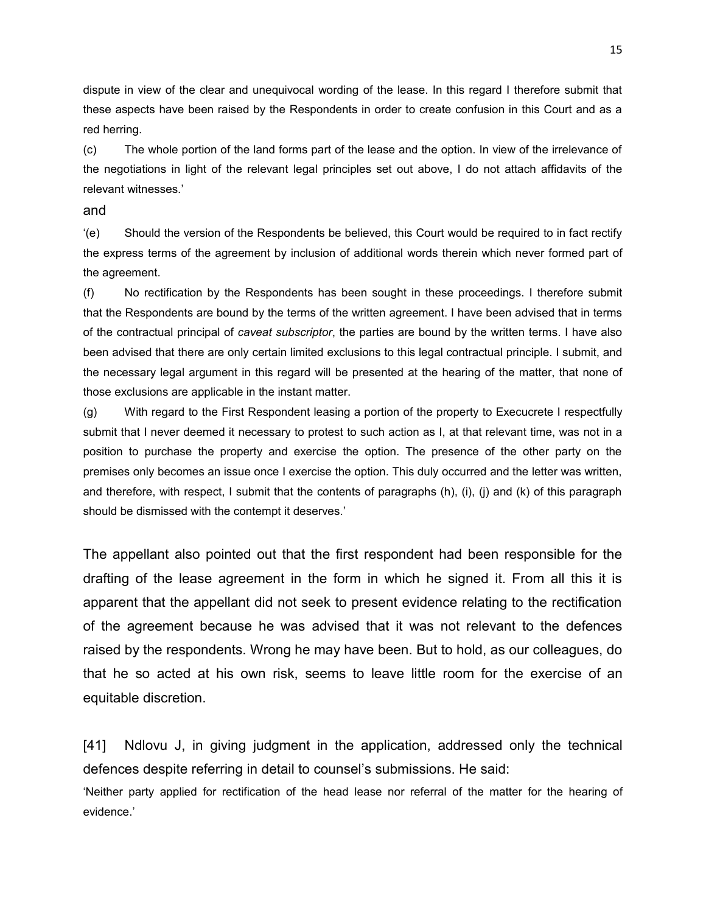dispute in view of the clear and unequivocal wording of the lease. In this regard I therefore submit that these aspects have been raised by the Respondents in order to create confusion in this Court and as a red herring.

(c) The whole portion of the land forms part of the lease and the option. In view of the irrelevance of the negotiations in light of the relevant legal principles set out above, I do not attach affidavits of the relevant witnesses.'

and

'(e) Should the version of the Respondents be believed, this Court would be required to in fact rectify the express terms of the agreement by inclusion of additional words therein which never formed part of the agreement.

(f) No rectification by the Respondents has been sought in these proceedings. I therefore submit that the Respondents are bound by the terms of the written agreement. I have been advised that in terms of the contractual principal of *caveat subscriptor*, the parties are bound by the written terms. I have also been advised that there are only certain limited exclusions to this legal contractual principle. I submit, and the necessary legal argument in this regard will be presented at the hearing of the matter, that none of those exclusions are applicable in the instant matter.

(g) With regard to the First Respondent leasing a portion of the property to Execucrete I respectfully submit that I never deemed it necessary to protest to such action as I, at that relevant time, was not in a position to purchase the property and exercise the option. The presence of the other party on the premises only becomes an issue once I exercise the option. This duly occurred and the letter was written, and therefore, with respect, I submit that the contents of paragraphs (h), (i), (j) and (k) of this paragraph should be dismissed with the contempt it deserves.'

The appellant also pointed out that the first respondent had been responsible for the drafting of the lease agreement in the form in which he signed it. From all this it is apparent that the appellant did not seek to present evidence relating to the rectification of the agreement because he was advised that it was not relevant to the defences raised by the respondents. Wrong he may have been. But to hold, as our colleagues, do that he so acted at his own risk, seems to leave little room for the exercise of an equitable discretion.

[41] Ndlovu J, in giving judgment in the application, addressed only the technical defences despite referring in detail to counsel's submissions. He said:

'Neither party applied for rectification of the head lease nor referral of the matter for the hearing of evidence.'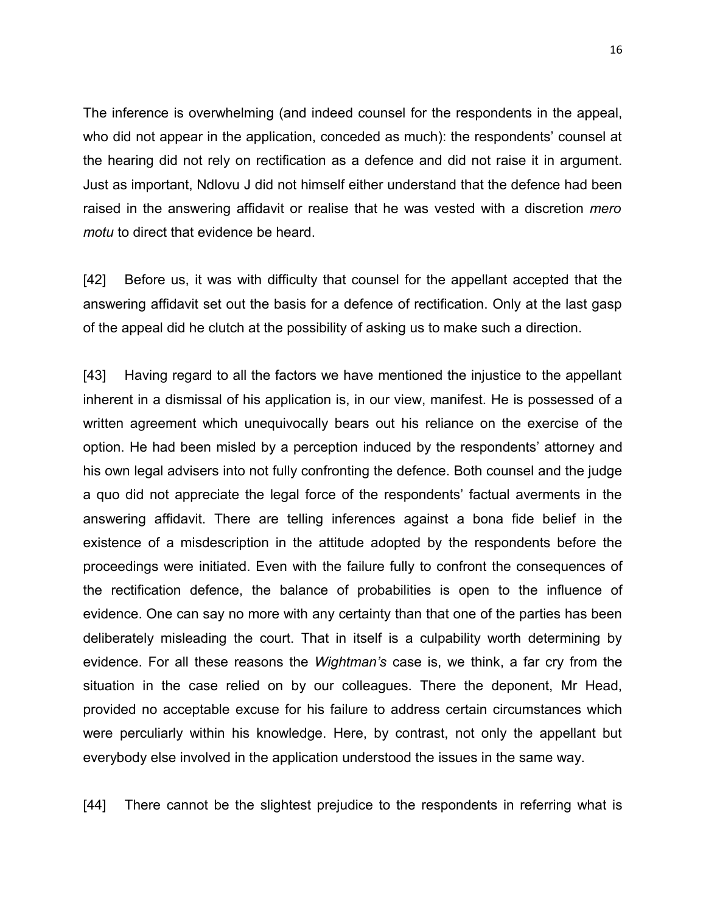The inference is overwhelming (and indeed counsel for the respondents in the appeal, who did not appear in the application, conceded as much): the respondents' counsel at the hearing did not rely on rectification as a defence and did not raise it in argument. Just as important, Ndlovu J did not himself either understand that the defence had been raised in the answering affidavit or realise that he was vested with a discretion *mero motu* to direct that evidence be heard.

[42] Before us, it was with difficulty that counsel for the appellant accepted that the answering affidavit set out the basis for a defence of rectification. Only at the last gasp of the appeal did he clutch at the possibility of asking us to make such a direction.

[43] Having regard to all the factors we have mentioned the injustice to the appellant inherent in a dismissal of his application is, in our view, manifest. He is possessed of a written agreement which unequivocally bears out his reliance on the exercise of the option. He had been misled by a perception induced by the respondents' attorney and his own legal advisers into not fully confronting the defence. Both counsel and the judge a quo did not appreciate the legal force of the respondents' factual averments in the answering affidavit. There are telling inferences against a bona fide belief in the existence of a misdescription in the attitude adopted by the respondents before the proceedings were initiated. Even with the failure fully to confront the consequences of the rectification defence, the balance of probabilities is open to the influence of evidence. One can say no more with any certainty than that one of the parties has been deliberately misleading the court. That in itself is a culpability worth determining by evidence. For all these reasons the *Wightman's* case is, we think, a far cry from the situation in the case relied on by our colleagues. There the deponent, Mr Head, provided no acceptable excuse for his failure to address certain circumstances which were perculiarly within his knowledge. Here, by contrast, not only the appellant but everybody else involved in the application understood the issues in the same way.

[44] There cannot be the slightest prejudice to the respondents in referring what is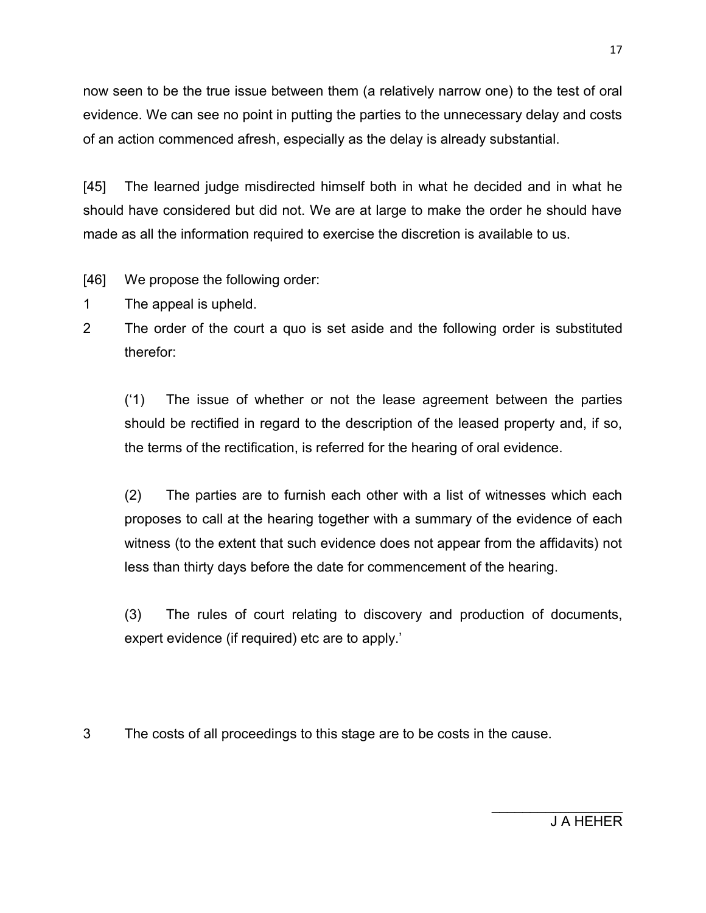now seen to be the true issue between them (a relatively narrow one) to the test of oral evidence. We can see no point in putting the parties to the unnecessary delay and costs of an action commenced afresh, especially as the delay is already substantial.

[45] The learned judge misdirected himself both in what he decided and in what he should have considered but did not. We are at large to make the order he should have made as all the information required to exercise the discretion is available to us.

- [46] We propose the following order:
- 1 The appeal is upheld.
- 2 The order of the court a quo is set aside and the following order is substituted therefor:

('1) The issue of whether or not the lease agreement between the parties should be rectified in regard to the description of the leased property and, if so, the terms of the rectification, is referred for the hearing of oral evidence.

(2) The parties are to furnish each other with a list of witnesses which each proposes to call at the hearing together with a summary of the evidence of each witness (to the extent that such evidence does not appear from the affidavits) not less than thirty days before the date for commencement of the hearing.

(3) The rules of court relating to discovery and production of documents, expert evidence (if required) etc are to apply.'

3 The costs of all proceedings to this stage are to be costs in the cause.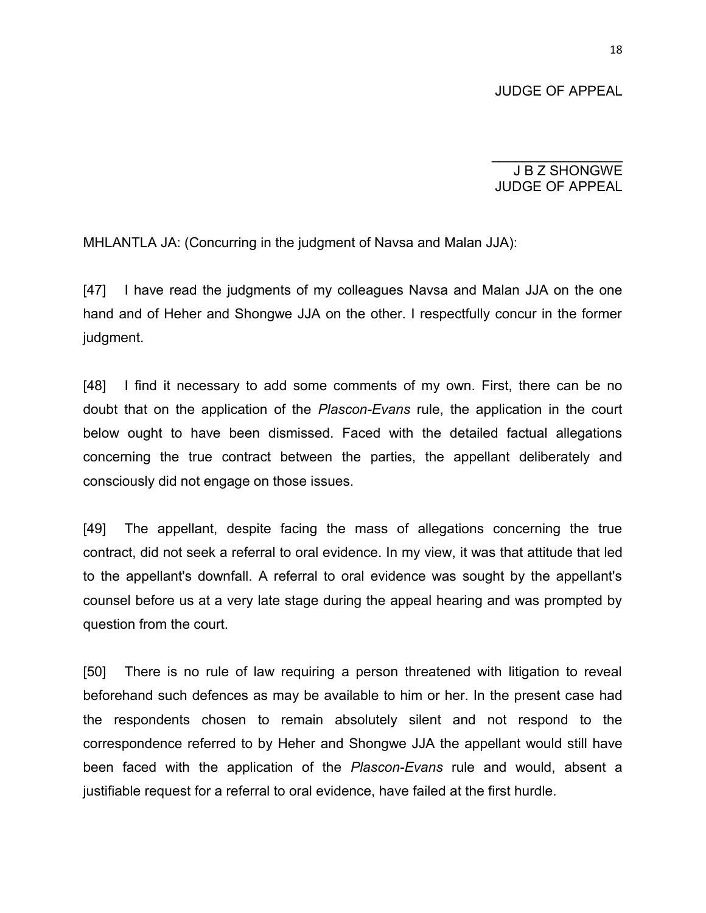JUDGE OF APPEAL

J B Z SHONGWE JUDGE OF APPEAL

 $\overline{\phantom{a}}$ 

MHLANTLA JA: (Concurring in the judgment of Navsa and Malan JJA):

[47] I have read the judgments of my colleagues Navsa and Malan JJA on the one hand and of Heher and Shongwe JJA on the other. I respectfully concur in the former judgment.

[48] I find it necessary to add some comments of my own. First, there can be no doubt that on the application of the *Plascon-Evans* rule, the application in the court below ought to have been dismissed. Faced with the detailed factual allegations concerning the true contract between the parties, the appellant deliberately and consciously did not engage on those issues.

[49] The appellant, despite facing the mass of allegations concerning the true contract, did not seek a referral to oral evidence. In my view, it was that attitude that led to the appellant's downfall. A referral to oral evidence was sought by the appellant's counsel before us at a very late stage during the appeal hearing and was prompted by question from the court.

[50] There is no rule of law requiring a person threatened with litigation to reveal beforehand such defences as may be available to him or her. In the present case had the respondents chosen to remain absolutely silent and not respond to the correspondence referred to by Heher and Shongwe JJA the appellant would still have been faced with the application of the *Plascon-Evans* rule and would, absent a justifiable request for a referral to oral evidence, have failed at the first hurdle.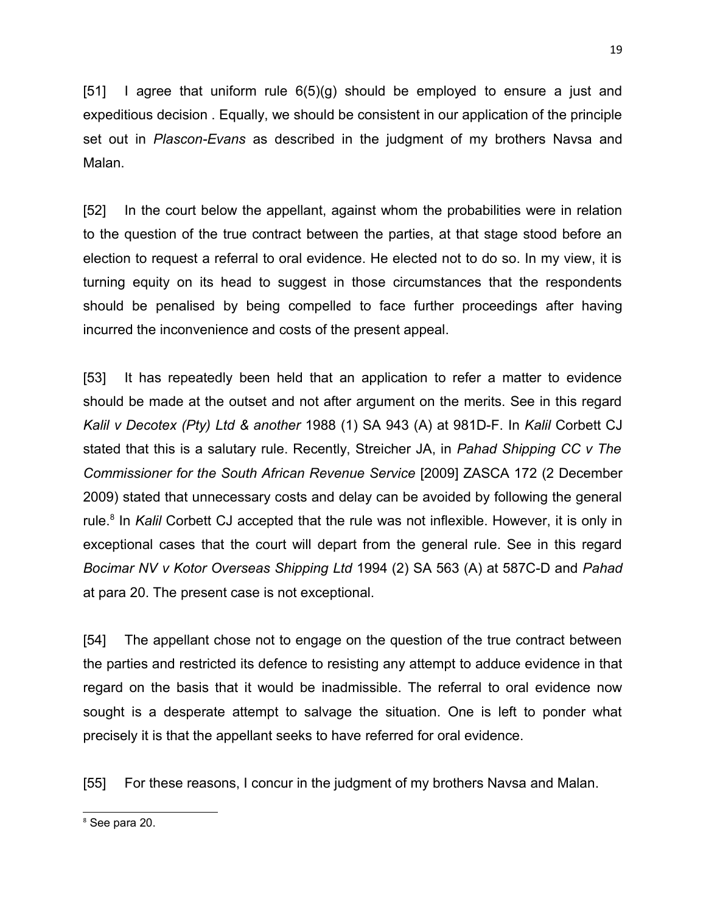[51] I agree that uniform rule  $6(5)(g)$  should be employed to ensure a just and expeditious decision . Equally, we should be consistent in our application of the principle set out in *Plascon-Evans* as described in the judgment of my brothers Navsa and Malan.

[52] In the court below the appellant, against whom the probabilities were in relation to the question of the true contract between the parties, at that stage stood before an election to request a referral to oral evidence. He elected not to do so. In my view, it is turning equity on its head to suggest in those circumstances that the respondents should be penalised by being compelled to face further proceedings after having incurred the inconvenience and costs of the present appeal.

[53] It has repeatedly been held that an application to refer a matter to evidence should be made at the outset and not after argument on the merits. See in this regard *Kalil v Decotex (Pty) Ltd & another* 1988 (1) SA 943 (A) at 981D-F. In *Kalil* Corbett CJ stated that this is a salutary rule. Recently, Streicher JA, in *Pahad Shipping CC v The Commissioner for the South African Revenue Service* [2009] ZASCA 172 (2 December 2009) stated that unnecessary costs and delay can be avoided by following the general rule.<sup>[8](#page-18-0)</sup> In *Kalil* Corbett CJ accepted that the rule was not inflexible. However, it is only in exceptional cases that the court will depart from the general rule. See in this regard *Bocimar NV v Kotor Overseas Shipping Ltd* 1994 (2) SA 563 (A) at 587C-D and *Pahad* at para 20. The present case is not exceptional.

[54] The appellant chose not to engage on the question of the true contract between the parties and restricted its defence to resisting any attempt to adduce evidence in that regard on the basis that it would be inadmissible. The referral to oral evidence now sought is a desperate attempt to salvage the situation. One is left to ponder what precisely it is that the appellant seeks to have referred for oral evidence.

[55] For these reasons, I concur in the judgment of my brothers Navsa and Malan.

<span id="page-18-0"></span><sup>8</sup> See para 20.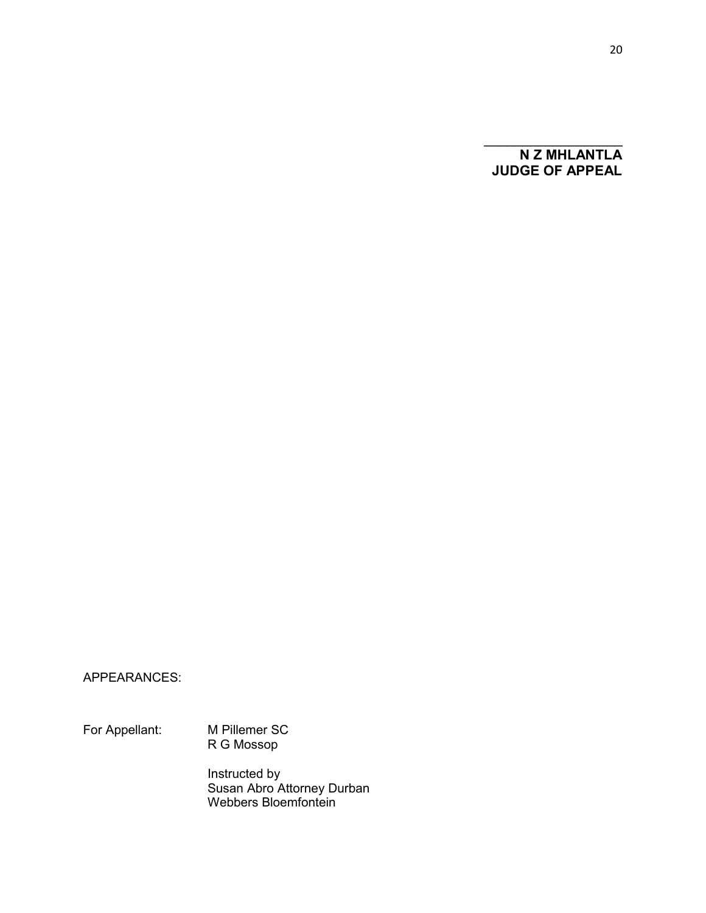**N Z MHLANTLA JUDGE OF APPEAL**

 $\mathcal{L}_\text{max}$  , where  $\mathcal{L}_\text{max}$ 

### APPEARANCES:

For Appellant: M Pillemer SC R G Mossop

> Instructed by Susan Abro Attorney Durban Webbers Bloemfontein